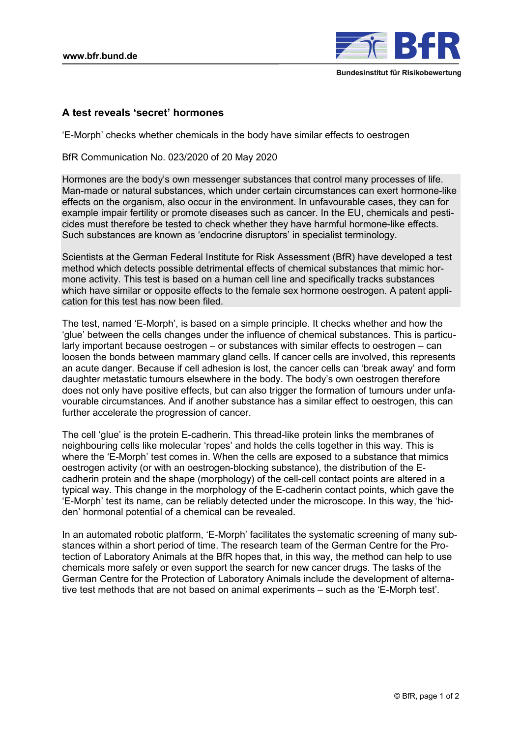

## **A test reveals 'secret' hormones**

'E-Morph' checks whether chemicals in the body have similar effects to oestrogen

BfR Communication No. 023/2020 of 20 May 2020

Hormones are the body's own messenger substances that control many processes of life. Man-made or natural substances, which under certain circumstances can exert hormone-like effects on the organism, also occur in the environment. In unfavourable cases, they can for example impair fertility or promote diseases such as cancer. In the EU, chemicals and pesticides must therefore be tested to check whether they have harmful hormone-like effects. Such substances are known as 'endocrine disruptors' in specialist terminology.

Scientists at the German Federal Institute for Risk Assessment (BfR) have developed a test method which detects possible detrimental effects of chemical substances that mimic hormone activity. This test is based on a human cell line and specifically tracks substances which have similar or opposite effects to the female sex hormone oestrogen. A patent application for this test has now been filed.

The test, named 'E-Morph', is based on a simple principle. It checks whether and how the 'glue' between the cells changes under the influence of chemical substances. This is particularly important because oestrogen – or substances with similar effects to oestrogen – can loosen the bonds between mammary gland cells. If cancer cells are involved, this represents an acute danger. Because if cell adhesion is lost, the cancer cells can 'break away' and form daughter metastatic tumours elsewhere in the body. The body's own oestrogen therefore does not only have positive effects, but can also trigger the formation of tumours under unfavourable circumstances. And if another substance has a similar effect to oestrogen, this can further accelerate the progression of cancer.

The cell 'glue' is the protein E-cadherin. This thread-like protein links the membranes of neighbouring cells like molecular 'ropes' and holds the cells together in this way. This is where the 'E-Morph' test comes in. When the cells are exposed to a substance that mimics oestrogen activity (or with an oestrogen-blocking substance), the distribution of the Ecadherin protein and the shape (morphology) of the cell-cell contact points are altered in a typical way. This change in the morphology of the E-cadherin contact points, which gave the 'E-Morph' test its name, can be reliably detected under the microscope. In this way, the 'hidden' hormonal potential of a chemical can be revealed.

In an automated robotic platform, 'E-Morph' facilitates the systematic screening of many substances within a short period of time. The research team of the German Centre for the Protection of Laboratory Animals at the BfR hopes that, in this way, the method can help to use chemicals more safely or even support the search for new cancer drugs. The tasks of the German Centre for the Protection of Laboratory Animals include the development of alternative test methods that are not based on animal experiments – such as the 'E-Morph test'.